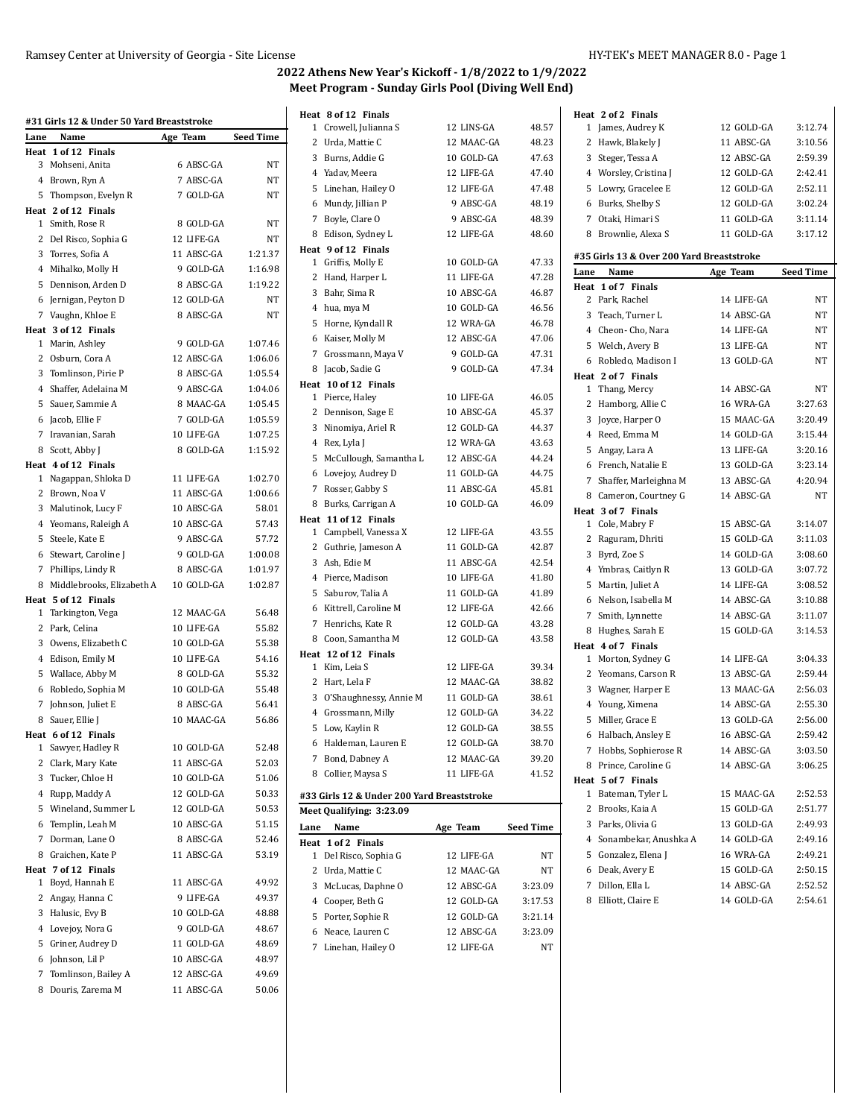**Heat 2 of 2 Finals**

## **2022 Athens New Year's Kickoff - 1/8/2022 to 1/9/2022 Meet Program - Sunday Girls Pool (Diving Well End)**

| Lane | #31 Girls 12 & Under 50 Yard Breaststroke<br>Name | Age Team   | <b>Seed Time</b> |
|------|---------------------------------------------------|------------|------------------|
| Heat | 1 of 12 Finals                                    |            |                  |
|      | 3 Mohseni, Anita                                  | 6 ABSC-GA  | NT               |
|      | 4 Brown, Ryn A                                    | 7 ABSC-GA  | NT               |
|      | 5 Thompson, Evelyn R                              | 7 GOLD-GA  | NT               |
|      | Heat 2 of 12 Finals                               |            |                  |
|      | 1 Smith, Rose R                                   | 8 GOLD-GA  | NT               |
|      | 2 Del Risco, Sophia G                             | 12 LIFE-GA | NT               |
|      |                                                   |            |                  |
|      | 3 Torres, Sofia A                                 | 11 ABSC-GA | 1:21.37          |
|      | 4 Mihalko, Molly H                                | 9 GOLD-GA  | 1:16.98          |
|      | 5 Dennison, Arden D                               | 8 ABSC-GA  | 1:19.22          |
|      | 6 Jernigan, Peyton D                              | 12 GOLD-GA | NT               |
|      | 7 Vaughn, Khloe E                                 | 8 ABSC-GA  | NT               |
|      | Heat 3 of 12 Finals                               |            |                  |
|      | 1 Marin, Ashley                                   | 9 GOLD-GA  | 1:07.46          |
|      | 2 Osburn, Cora A                                  | 12 ABSC-GA | 1:06.06          |
|      | 3 Tomlinson, Pirie P                              | 8 ABSC-GA  | 1:05.54          |
|      | 4 Shaffer, Adelaina M                             | 9 ABSC-GA  | 1:04.06          |
|      | 5 Sauer, Sammie A                                 | 8 MAAC-GA  | 1:05.45          |
|      | 6 Jacob, Ellie F                                  | 7 GOLD-GA  | 1:05.59          |
|      | 7 Iravanian, Sarah                                | 10 LIFE-GA | 1:07.25          |
|      | 8 Scott, Abby J                                   | 8 GOLD-GA  | 1:15.92          |
|      | Heat 4 of 12 Finals                               |            |                  |
|      | 1 Nagappan, Shloka D                              | 11 LIFE-GA | 1:02.70          |
|      | 2 Brown, Noa V                                    | 11 ABSC-GA | 1:00.66          |
|      | 3 Malutinok, Lucy F                               | 10 ABSC-GA | 58.01            |
|      | 4 Yeomans, Raleigh A                              | 10 ABSC-GA | 57.43            |
|      | 5 Steele, Kate E                                  | 9 ABSC-GA  | 57.72            |
|      | 6 Stewart, Caroline J                             | 9 GOLD-GA  | 1:00.08          |
|      | 7 Phillips, Lindy R                               | 8 ABSC-GA  | 1:01.97          |
|      | 8 Middlebrooks, Elizabeth A                       | 10 GOLD-GA | 1:02.87          |
|      | Heat 5 of 12 Finals                               |            |                  |
|      | 1 Tarkington, Vega                                | 12 MAAC-GA | 56.48            |
|      | 2 Park, Celina                                    | 10 LIFE-GA | 55.82            |
|      | 3 Owens, Elizabeth C                              | 10 GOLD-GA | 55.38            |
|      | 4 Edison, Emily M                                 | 10 LIFE-GA | 54.16            |
|      | 5 Wallace, Abby M                                 | 8 GOLD-GA  | 55.32            |
|      | 6 Robledo, Sophia M                               | 10 GOLD-GA | 55.48            |
|      | 7 Johnson, Juliet E                               | 8 ABSC-GA  | 56.41            |
|      | 8 Sauer, Ellie J                                  | 10 MAAC-GA | 56.86            |
|      | Heat 6 of 12 Finals                               |            |                  |
| 1    | Sawyer, Hadley R                                  | 10 GOLD-GA | 52.48            |
|      | 2 Clark, Mary Kate                                | 11 ABSC-GA | 52.03            |
|      | 3 Tucker, Chloe H                                 | 10 GOLD-GA | 51.06            |
|      | 4 Rupp, Maddy A                                   | 12 GOLD-GA | 50.33            |
| 5    | Wineland, Summer L                                | 12 GOLD-GA | 50.53            |
| 6    | Templin, Leah M                                   | 10 ABSC-GA | 51.15            |
| 7    |                                                   |            |                  |
|      | Dorman, Lane O                                    | 8 ABSC-GA  | 52.46            |
| 8    | Graichen, Kate P                                  | 11 ABSC-GA | 53.19            |
|      | Heat 7 of 12 Finals                               |            |                  |
| 1    | Boyd, Hannah E                                    | 11 ABSC-GA | 49.92            |
|      | 2 Angay, Hanna C                                  | 9 LIFE-GA  | 49.37            |
|      | 3 Halusic, Evy B                                  | 10 GOLD-GA | 48.88            |
|      | 4 Lovejoy, Nora G                                 | 9 GOLD-GA  | 48.67            |
| 5    | Griner, Audrey D                                  | 11 GOLD-GA | 48.69            |
| 6    | Johnson, Lil P                                    | 10 ABSC-GA | 48.97            |
| 7    | Tomlinson, Bailey A                               | 12 ABSC-GA | 49.69            |
| 8    | Douris, Zarema M                                  | 11 ABSC-GA | 50.06            |
|      |                                                   |            |                  |

|                | Heat 8 of 12 Finals                        |            |                  |
|----------------|--------------------------------------------|------------|------------------|
| $\mathbf{1}$   | Crowell, Julianna S                        | 12 LINS-GA | 48.57            |
| 2              | Urda, Mattie C                             | 12 MAAC-GA | 48.23            |
| 3              | Burns, Addie G                             | 10 GOLD-GA | 47.63            |
|                | 4 Yadav, Meera                             | 12 LIFE-GA | 47.40            |
|                | 5 Linehan, Hailey O                        | 12 LIFE-GA | 47.48            |
|                | 6 Mundy, Jillian P                         | 9 ABSC-GA  | 48.19            |
| 7              | Boyle, Clare O                             | 9 ABSC-GA  | 48.39            |
| 8.             | Edison, Sydney L                           | 12 LIFE-GA | 48.60            |
|                | Heat 9 of 12 Finals                        |            |                  |
|                | 1 Griffis, Molly E                         | 10 GOLD-GA | 47.33            |
| $\mathbf{2}$   | Hand, Harper L                             | 11 LIFE-GA | 47.28            |
|                | 3 Bahr, Sima R                             | 10 ABSC-GA | 46.87            |
|                | 4 hua, mya M                               | 10 GOLD-GA | 46.56            |
|                | 5 Horne, Kyndall R                         | 12 WRA-GA  | 46.78            |
|                | 6 Kaiser, Molly M                          | 12 ABSC-GA | 47.06            |
| $\overline{7}$ | Grossmann, Maya V                          | 9 GOLD-GA  | 47.31            |
|                | 8 Jacob, Sadie G                           | 9 GOLD-GA  | 47.34            |
|                | Heat 10 of 12 Finals                       |            |                  |
|                | 1 Pierce, Haley                            | 10 LIFE-GA | 46.05            |
| $\mathbf{2}$   | Dennison, Sage E                           | 10 ABSC-GA | 45.37            |
|                | 3 Ninomiya, Ariel R                        | 12 GOLD-GA | 44.37            |
|                | 4 Rex, Lyla J                              | 12 WRA-GA  | 43.63            |
|                | 5 McCullough, Samantha L                   | 12 ABSC-GA | 44.24            |
|                | 6 Lovejoy, Audrey D                        | 11 GOLD-GA | 44.75            |
| $\overline{7}$ | Rosser, Gabby S                            | 11 ABSC-GA | 45.81            |
|                | 8 Burks, Carrigan A                        | 10 GOLD-GA | 46.09            |
|                | Heat 11 of 12 Finals                       |            |                  |
| $\mathbf{1}$   | Campbell, Vanessa X                        | 12 LIFE-GA | 43.55            |
|                | 2 Guthrie, Jameson A                       | 11 GOLD-GA | 42.87            |
|                | 3 Ash, Edie M                              | 11 ABSC-GA | 42.54            |
|                | 4 Pierce, Madison                          | 10 LIFE-GA | 41.80            |
| 5              | Saburov, Talia A                           | 11 GOLD-GA | 41.89            |
|                | 6 Kittrell, Caroline M                     | 12 LIFE-GA | 42.66            |
| $\overline{7}$ | Henrichs, Kate R                           | 12 GOLD-GA | 43.28            |
|                | 8 Coon, Samantha M                         | 12 GOLD-GA | 43.58            |
|                | Heat 12 of 12 Finals                       |            |                  |
|                | 1 Kim, Leia S                              | 12 LIFE-GA | 39.34            |
|                | 2 Hart, Lela F                             | 12 MAAC-GA | 38.82            |
| 3              | O'Shaughnessy, Annie M                     | 11 GOLD-GA | 38.61            |
|                | 4 Grossmann, Milly                         | 12 GOLD-GA | 34.22            |
| 5              | Low, Kaylin R                              | 12 GOLD-GA | 38.55            |
|                | 6 Haldeman, Lauren E                       | 12 GOLD-GA | 38.70            |
| $\overline{7}$ | Bond, Dabney A                             | 12 MAAC-GA | 39.20            |
| 8              | Collier, Maysa S                           | 11 LIFE-GA | 41.52            |
|                | #33 Girls 12 & Under 200 Yard Breaststroke |            |                  |
|                | Meet Qualifying: 3:23.09                   |            |                  |
| Lane           | Name                                       | Age Team   | <b>Seed Time</b> |
| Heat           | 1 of 2 Finals                              |            |                  |
| 1              | Del Risco, Sophia G                        | 12 LIFE-GA | ΝT               |

 Urda, Mattie C 12 MAAC-GA NT McLucas, Daphne O 12 ABSC-GA 3:23.09 Cooper, Beth G 12 GOLD-GA 3:17.53 Porter, Sophie R 12 GOLD-GA 3:21.14 Neace, Lauren C 12 ABSC-GA 3:23.09 Linehan, Hailey O 12 LIFE-GA NT

| James, Audrey K<br>1                      | 12 GOLD-GA | 3:12.74          |
|-------------------------------------------|------------|------------------|
| 2 Hawk, Blakely J                         | 11 ABSC-GA | 3:10.56          |
| Steger, Tessa A<br>3                      | 12 ABSC-GA | 2:59.39          |
| 4 Worsley, Cristina J                     | 12 GOLD-GA | 2:42.41          |
| Lowry, Gracelee E<br>5                    | 12 GOLD-GA | 2:52.11          |
| Burks, Shelby S<br>6                      | 12 GOLD-GA | 3:02.24          |
| 7<br>Otaki, Himari S                      | 11 GOLD-GA | 3:11.14          |
| Brownlie, Alexa S<br>8                    | 11 GOLD-GA | 3:17.12          |
|                                           |            |                  |
| #35 Girls 13 & Over 200 Yard Breaststroke |            |                  |
| Name<br>Lane                              | Age Team   | <b>Seed Time</b> |
| 1 of 7 Finals<br>Heat                     |            |                  |
| 2 Park, Rachel                            | 14 LIFE-GA | NΤ               |
| 3 Teach, Turner L                         | 14 ABSC-GA | NΤ               |
| 4 Cheon- Cho, Nara                        | 14 LIFE-GA | NΤ               |
| 5<br>Welch, Avery B                       | 13 LIFE-GA | NT               |
| Robledo, Madison I<br>6                   | 13 GOLD-GA | NΤ               |
| Heat 2 of 7 Finals                        |            |                  |
| Thang, Mercy<br>1                         | 14 ABSC-GA | NΤ               |
| 2<br>Hamborg, Allie C                     | 16 WRA-GA  | 3:27.63          |
| 3<br>Joyce, Harper O                      | 15 MAAC-GA | 3:20.49          |
| 4 Reed, Emma M                            | 14 GOLD-GA | 3:15.44          |
| 5 Angay, Lara A                           | 13 LIFE-GA | 3:20.16          |
| 6 French, Natalie E                       | 13 GOLD-GA | 3:23.14          |
| Shaffer, Marleighna M<br>7                | 13 ABSC-GA | 4:20.94          |
| 8 Cameron, Courtney G                     | 14 ABSC-GA | NΤ               |
| Heat 3 of 7 Finals                        |            |                  |
| Cole, Mabry F<br>1                        | 15 ABSC-GA | 3:14.07          |
| 2<br>Raguram, Dhriti                      | 15 GOLD-GA | 3:11.03          |
| 3<br>Byrd, Zoe S                          | 14 GOLD-GA | 3:08.60          |
| 4 Ymbras, Caitlyn R                       | 13 GOLD-GA | 3:07.72          |
| 5<br>Martin, Juliet A                     | 14 LIFE-GA | 3:08.52          |
| Nelson, Isabella M<br>6                   | 14 ABSC-GA | 3:10.88          |
| 7<br>Smith, Lynnette                      | 14 ABSC-GA | 3:11.07          |
| 8<br>Hughes, Sarah E                      | 15 GOLD-GA | 3:14.53          |
| Heat 4 of 7 Finals                        |            |                  |
| Morton, Sydney G<br>1                     | 14 LIFE-GA | 3:04.33          |
| 2 Yeomans, Carson R                       | 13 ABSC-GA | 2:59.44          |
| 3 Wagner, Harper E                        | 13 MAAC-GA | 2:56.03          |
| 4 Young, Ximena                           | 14 ABSC-GA | 2:55.30          |
| 5<br>Miller, Grace E                      | 13 GOLD-GA | 2:56.00          |
| Halbach, Ansley E<br>6                    | 16 ABSC-GA | 2:59.42          |
| 7 Hobbs, Sophierose R                     | 14 ABSC-GA | 3:03.50          |
| Prince, Caroline G<br>8                   | 14 ABSC-GA | 3:06.25          |
| Heat 5 of 7 Finals                        |            |                  |
| 1<br>Bateman, Tyler L                     | 15 MAAC-GA | 2:52.53          |
| 2<br>Brooks, Kaia A                       | 15 GOLD-GA | 2:51.77          |
| 3<br>Parks, Olivia G                      | 13 GOLD-GA | 2:49.93          |
| Sonambekar, Anushka A<br>4                | 14 GOLD-GA | 2:49.16          |
| Gonzalez, Elena J<br>5                    | 16 WRA-GA  | 2:49.21          |
| Deak, Avery E<br>6                        | 15 GOLD-GA | 2:50.15          |
| 7<br>Dillon, Ella L                       | 14 ABSC-GA | 2:52.52          |
| Elliott, Claire E<br>8                    | 14 GOLD-GA | 2:54.61          |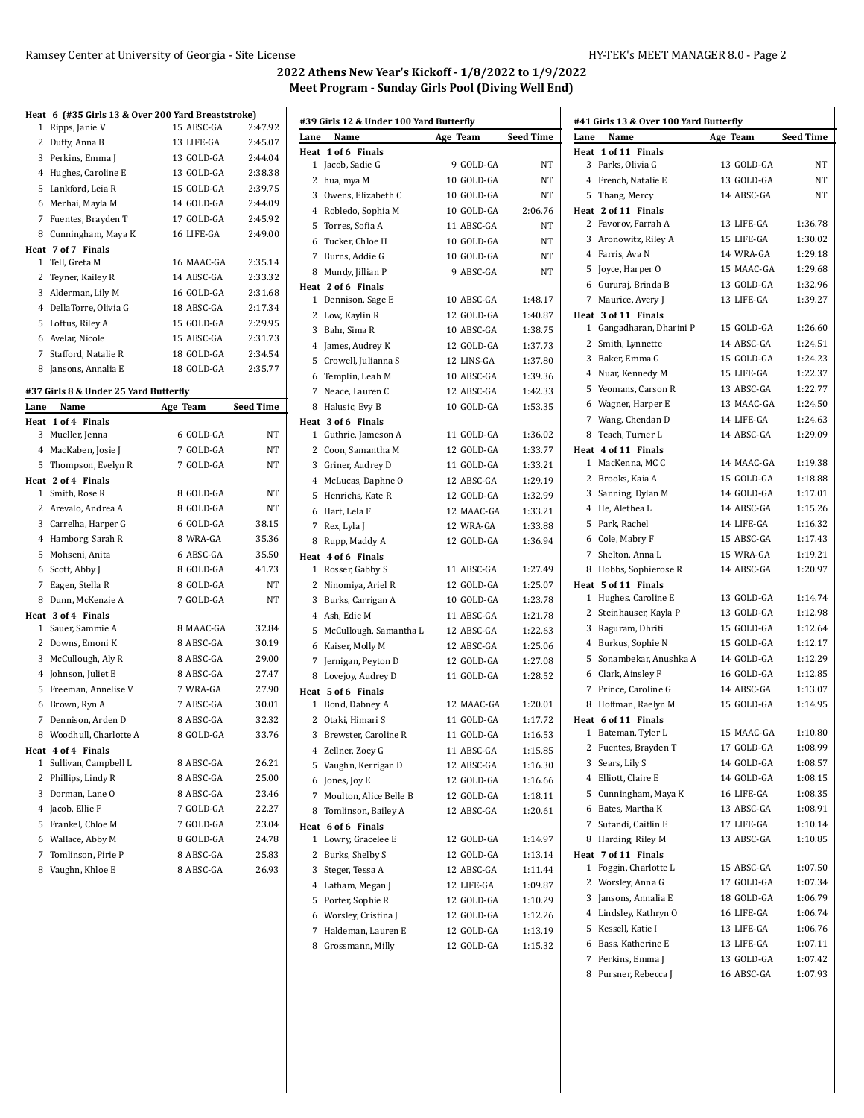|                | Heat 6 (#35 Girls 13 & Over 200 Yard Breaststroke)                              |                                         |                  |
|----------------|---------------------------------------------------------------------------------|-----------------------------------------|------------------|
| 1              | Ripps, Janie V                                                                  | 15 ABSC-GA                              | 2:47.92          |
| 2              | Duffy, Anna B                                                                   | 13 LIFE-GA                              | 2:45.07          |
| 3              | Perkins, Emma J                                                                 | 13 GOLD-GA                              | 2:44.04          |
| 4              | Hughes, Caroline E                                                              | 13 GOLD-GA                              | 2:38.38          |
| 5              | Lankford, Leia R                                                                | 15 GOLD-GA                              | 2:39.75          |
| 6              | Merhai, Mayla M                                                                 | 14 GOLD-GA                              | 2:44.09          |
| 7              | Fuentes, Brayden T                                                              | 17 GOLD-GA                              | 2:45.92          |
| 8              | Cunningham, Maya K                                                              | 16 LIFE-GA                              | 2:49.00          |
|                | Heat 7 of 7 Finals                                                              |                                         |                  |
| $\mathbf{1}$   | Tell, Greta M                                                                   | 16 MAAC-GA                              | 2:35.14          |
| 2              | Teyner, Kailey R                                                                | 14 ABSC-GA                              | 2:33.32          |
| 3              | Alderman, Lily M                                                                | 16 GOLD-GA                              | 2:31.68          |
| 4              | DellaTorre, Olivia G                                                            | 18 ABSC-GA                              | 2:17.34          |
| 5              | Loftus, Riley A                                                                 | 15 GOLD-GA                              | 2:29.95          |
| 6              | Avelar, Nicole                                                                  | 15 ABSC-GA                              | 2:31.73          |
| 7              | Stafford, Natalie R                                                             | 18 GOLD-GA                              | 2:34.54          |
| 8              | Jansons, Annalia E                                                              | 18 GOLD-GA                              | 2:35.77          |
|                | #37 Girls 8 & Under 25 Yard Butterfly                                           |                                         |                  |
| Lane           | Name                                                                            | Age Team                                | <b>Seed Time</b> |
|                | Heat 1 of 4 Finals                                                              |                                         |                  |
| 3              | Mueller, Jenna                                                                  | 6 GOLD-GA                               | <b>NT</b>        |
| $\overline{4}$ | MacKaben, Josie J                                                               | 7 GOLD-GA                               | NT               |
| п.             | $m_{\text{max}}$ and $m_{\text{max}}$ and $m_{\text{max}}$ and $m_{\text{max}}$ | $7 \cap \overline{N} \cap \overline{N}$ | <b>AITP</b>      |

| 4            | MacKaben, Josie J     | 7 GOLD-GA | NT        |
|--------------|-----------------------|-----------|-----------|
| 5            | Thompson, Evelyn R    | 7 GOLD-GA | <b>NT</b> |
|              | Heat 2 of 4 Finals    |           |           |
| 1.           | Smith, Rose R         | 8 GOLD-GA | NT        |
| $\mathbf{2}$ | Arevalo, Andrea A     | 8 GOLD-GA | NT        |
| 3            | Carrelha, Harper G    | 6 GOLD-GA | 38.15     |
| 4            | Hamborg, Sarah R      | 8 WRA-GA  | 35.36     |
| 5            | Mohseni, Anita        | 6 ABSC-GA | 35.50     |
| 6            | Scott, Abby J         | 8 GOLD-GA | 41.73     |
| 7            | Eagen, Stella R       | 8 GOLD-GA | <b>NT</b> |
| 8            | Dunn, McKenzie A      | 7 GOLD-GA | NT        |
|              | Heat 3 of 4 Finals    |           |           |
| 1.           | Sauer, Sammie A       | 8 MAAC-GA | 32.84     |
| 2            | Downs, Emoni K        | 8 ABSC-GA | 30.19     |
| 3            | McCullough, Aly R     | 8 ABSC-GA | 29.00     |
| 4            | Johnson, Juliet E     | 8 ABSC-GA | 27.47     |
| 5            | Freeman, Annelise V   | 7 WRA-GA  | 27.90     |
| 6            | Brown, Ryn A          | 7 ABSC-GA | 30.01     |
| 7            | Dennison, Arden D     | 8 ABSC-GA | 32.32     |
| 8            | Woodhull, Charlotte A | 8 GOLD-GA | 33.76     |
|              | Heat 4 of 4 Finals    |           |           |
| 1            | Sullivan, Campbell L  | 8 ABSC-GA | 26.21     |
| $\mathbf{2}$ | Phillips, Lindy R     | 8 ABSC-GA | 25.00     |
| 3            | Dorman, Lane O        | 8 ABSC-GA | 23.46     |
| 4            | Jacob, Ellie F        | 7 GOLD-GA | 22.27     |
| 5            | Frankel, Chloe M      | 7 GOLD-GA | 23.04     |
| 6            | Wallace, Abby M       | 8 GOLD-GA | 24.78     |
| 7            | Tomlinson, Pirie P    | 8 ABSC-GA | 25.83     |
| 8            | Vaughn, Khloe E       | 8 ABSC-GA | 26.93     |

|      | #39 Girls 12 & Under 100 Yard Butterfly |            |                  |      | #41 Girls 13 & Over 100 Yard Butterfly |            |           |
|------|-----------------------------------------|------------|------------------|------|----------------------------------------|------------|-----------|
| Lane | Name                                    | Age Team   | <b>Seed Time</b> | Lane | Name                                   | Age Team   | Seed Time |
|      | Heat 1 of 6 Finals                      |            |                  |      | Heat 1 of 11 Finals                    |            |           |
|      | 1 Jacob, Sadie G                        | 9 GOLD-GA  | NT               |      | 3 Parks, Olivia G                      | 13 GOLD-GA | NΤ        |
|      | 2 hua, mya M                            | 10 GOLD-GA | NT               |      | 4 French, Natalie E                    | 13 GOLD-GA | NΤ        |
|      | 3 Owens, Elizabeth C                    | 10 GOLD-GA | NT               |      | 5 Thang, Mercy                         | 14 ABSC-GA | NΤ        |
|      | 4 Robledo, Sophia M                     | 10 GOLD-GA | 2:06.76          |      | Heat 2 of 11 Finals                    |            |           |
| 5    | Torres, Sofia A                         | 11 ABSC-GA | <b>NT</b>        |      | 2 Favorov, Farrah A                    | 13 LIFE-GA | 1:36.78   |
|      | 6 Tucker, Chloe H                       | 10 GOLD-GA | NT               |      | 3 Aronowitz, Riley A                   | 15 LIFE-GA | 1:30.02   |
|      | 7 Burns, Addie G                        | 10 GOLD-GA | NT               |      | 4 Farris, Ava N                        | 14 WRA-GA  | 1:29.18   |
|      | 8 Mundy, Jillian P                      | 9 ABSC-GA  | NT               |      | 5 Joyce, Harper O                      | 15 MAAC-GA | 1:29.68   |
|      | Heat 2 of 6 Finals                      |            |                  |      | 6 Gururaj, Brinda B                    | 13 GOLD-GA | 1:32.96   |
|      | 1 Dennison, Sage E                      | 10 ABSC-GA | 1:48.17          |      | 7 Maurice, Avery J                     | 13 LIFE-GA | 1:39.27   |
|      | 2 Low, Kaylin R                         | 12 GOLD-GA | 1:40.87          |      | Heat 3 of 11 Finals                    |            |           |
|      | 3 Bahr, Sima R                          | 10 ABSC-GA | 1:38.75          |      | 1 Gangadharan, Dharini P               | 15 GOLD-GA | 1:26.60   |
|      | 4 James, Audrey K                       | 12 GOLD-GA | 1:37.73          |      | 2 Smith, Lynnette                      | 14 ABSC-GA | 1:24.51   |
| 5    | Crowell, Julianna S                     | 12 LINS-GA | 1:37.80          |      | 3 Baker, Emma G                        | 15 GOLD-GA | 1:24.23   |
|      | 6 Templin, Leah M                       | 10 ABSC-GA | 1:39.36          |      | 4 Nuar, Kennedy M                      | 15 LIFE-GA | 1:22.37   |
|      | 7 Neace, Lauren C                       | 12 ABSC-GA | 1:42.33          |      | 5 Yeomans, Carson R                    | 13 ABSC-GA | 1:22.77   |
|      | 8 Halusic, Evy B                        | 10 GOLD-GA | 1:53.35          |      | 6 Wagner, Harper E                     | 13 MAAC-GA | 1:24.50   |
|      | Heat 3 of 6 Finals                      |            |                  |      | 7 Wang, Chendan D                      | 14 LIFE-GA | 1:24.63   |
|      | 1 Guthrie, Jameson A                    | 11 GOLD-GA | 1:36.02          |      | 8 Teach, Turner L                      | 14 ABSC-GA | 1:29.09   |
|      | 2 Coon, Samantha M                      | 12 GOLD-GA | 1:33.77          |      | Heat 4 of 11 Finals<br>1 MacKenna, MCC | 14 MAAC-GA | 1:19.38   |
|      | 3 Griner, Audrey D                      | 11 GOLD-GA | 1:33.21          |      | 2 Brooks, Kaia A                       | 15 GOLD-GA | 1:18.88   |
|      | 4 McLucas, Daphne O                     | 12 ABSC-GA | 1:29.19          |      | 3 Sanning, Dylan M                     | 14 GOLD-GA | 1:17.01   |
|      | 5 Henrichs, Kate R                      | 12 GOLD-GA | 1:32.99          |      | 4 He, Alethea L                        | 14 ABSC-GA | 1:15.26   |
|      | 6 Hart, Lela F                          | 12 MAAC-GA | 1:33.21          |      | 5 Park, Rachel                         | 14 LIFE-GA | 1:16.32   |
|      | 7   Rex, Lyla J                         | 12 WRA-GA  | 1:33.88          |      | 6 Cole, Mabry F                        | 15 ABSC-GA | 1:17.43   |
|      | 8 Rupp, Maddy A                         | 12 GOLD-GA | 1:36.94          |      | 7 Shelton, Anna L                      | 15 WRA-GA  | 1:19.21   |
|      | Heat 4 of 6 Finals<br>1 Rosser, Gabby S | 11 ABSC-GA | 1:27.49          |      | 8 Hobbs, Sophierose R                  | 14 ABSC-GA | 1:20.97   |
|      | 2 Ninomiya, Ariel R                     | 12 GOLD-GA | 1:25.07          |      | Heat 5 of 11 Finals                    |            |           |
|      | 3 Burks, Carrigan A                     | 10 GOLD-GA | 1:23.78          |      | 1 Hughes, Caroline E                   | 13 GOLD-GA | 1:14.74   |
|      | 4 Ash, Edie M                           | 11 ABSC-GA | 1:21.78          |      | 2 Steinhauser, Kayla P                 | 13 GOLD-GA | 1:12.98   |
|      | 5 McCullough, Samantha L                | 12 ABSC-GA | 1:22.63          |      | 3 Raguram, Dhriti                      | 15 GOLD-GA | 1:12.64   |
|      | 6 Kaiser, Molly M                       | 12 ABSC-GA | 1:25.06          |      | 4 Burkus, Sophie N                     | 15 GOLD-GA | 1:12.17   |
|      | 7 Jernigan, Peyton D                    | 12 GOLD-GA | 1:27.08          |      | 5 Sonambekar, Anushka A                | 14 GOLD-GA | 1:12.29   |
|      | 8 Lovejoy, Audrey D                     | 11 GOLD-GA | 1:28.52          |      | 6 Clark, Ainsley F                     | 16 GOLD-GA | 1:12.85   |
|      | Heat 5 of 6 Finals                      |            |                  |      | 7 Prince, Caroline G                   | 14 ABSC-GA | 1:13.07   |
|      | 1 Bond, Dabney A                        | 12 MAAC-GA | 1:20.01          |      | 8 Hoffman, Raelyn M                    | 15 GOLD-GA | 1:14.95   |
|      | 2 Otaki, Himari S                       | 11 GOLD-GA | 1:17.72          |      | Heat 6 of 11 Finals                    |            |           |
|      | 3 Brewster, Caroline R                  | 11 GOLD-GA | 1:16.53          |      | 1 Bateman, Tyler L                     | 15 MAAC-GA | 1:10.80   |
|      | 4 Zellner, Zoey G                       | 11 ABSC-GA | 1:15.85          |      | 2 Fuentes, Brayden T                   | 17 GOLD-GA | 1:08.99   |
|      | 5 Vaughn, Kerrigan D                    | 12 ABSC-GA | 1:16.30          |      | 3 Sears, Lily S                        | 14 GOLD-GA | 1:08.57   |
|      | 6 Jones, Joy E                          | 12 GOLD-GA | 1:16.66          |      | 4 Elliott, Claire E                    | 14 GOLD-GA | 1:08.15   |
|      | 7 Moulton, Alice Belle B                | 12 GOLD-GA | 1:18.11          |      | 5 Cunningham, Maya K                   | 16 LIFE-GA | 1:08.35   |
|      | 8 Tomlinson, Bailey A                   | 12 ABSC-GA | 1:20.61          |      | 6 Bates, Martha K                      | 13 ABSC-GA | 1:08.91   |
|      | Heat 6 of 6 Finals                      |            |                  |      | 7 Sutandi, Caitlin E                   | 17 LIFE-GA | 1:10.14   |
|      | 1 Lowry, Gracelee E                     | 12 GOLD-GA | 1:14.97          |      | 8 Harding, Riley M                     | 13 ABSC-GA | 1:10.85   |
|      | 2 Burks, Shelby S                       | 12 GOLD-GA | 1:13.14          |      | Heat 7 of 11 Finals                    |            |           |
|      | 3 Steger, Tessa A                       | 12 ABSC-GA | 1:11.44          |      | 1 Foggin, Charlotte L                  | 15 ABSC-GA | 1:07.50   |
|      | 4 Latham, Megan J                       | 12 LIFE-GA | 1:09.87          |      | 2 Worsley, Anna G                      | 17 GOLD-GA | 1:07.34   |
|      | 5 Porter, Sophie R                      | 12 GOLD-GA | 1:10.29          |      | 3 Jansons, Annalia E                   | 18 GOLD-GA | 1:06.79   |
|      | 6 Worsley, Cristina J                   | 12 GOLD-GA | 1:12.26          |      | 4 Lindsley, Kathryn O                  | 16 LIFE-GA | 1:06.74   |
|      | 7 Haldeman, Lauren E                    | 12 GOLD-GA | 1:13.19          |      | 5 Kessell, Katie I                     | 13 LIFE-GA | 1:06.76   |
|      | 8 Grossmann, Milly                      | 12 GOLD-GA | 1:15.32          |      | 6 Bass, Katherine E                    | 13 LIFE-GA | 1:07.11   |
|      |                                         |            |                  |      | 7 Perkins, Emma J                      | 13 GOLD-GA | 1:07.42   |
|      |                                         |            |                  |      | 8 Pursner, Rebecca J                   | 16 ABSC-GA | 1:07.93   |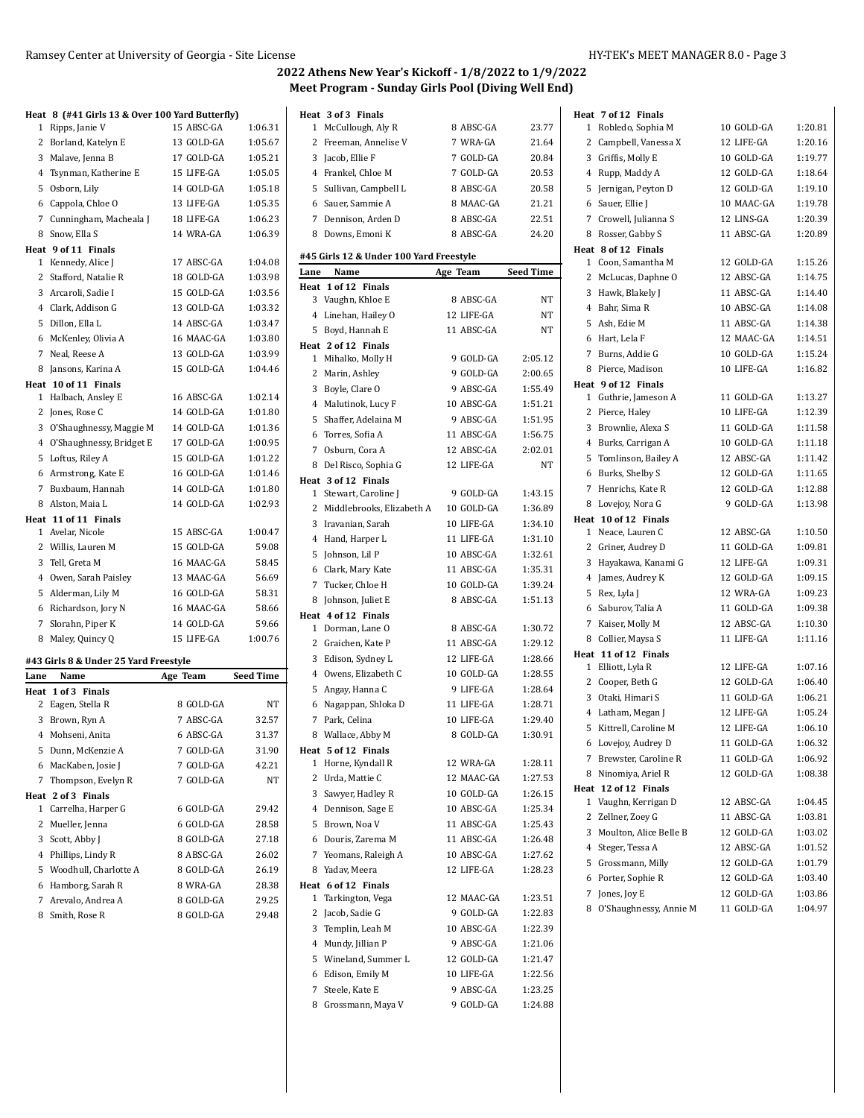|      | Heat 8 (#41 Girls 13 & Over 100 Yard Butterfly) |                          |                    |
|------|-------------------------------------------------|--------------------------|--------------------|
| 1    | Ripps, Janie V                                  | 15 ABSC-GA               | 1:06.31            |
|      | 2 Borland, Katelyn E                            | 13 GOLD-GA               | 1:05.67            |
|      | 3 Malave, Jenna B                               | 17 GOLD-GA<br>15 LIFE-GA | 1:05.21<br>1:05.05 |
|      | 4 Tsynman, Katherine E                          |                          |                    |
|      | 5 Osborn, Lily                                  | 14 GOLD-GA               | 1:05.18            |
|      | 6 Cappola, Chloe O                              | 13 LIFE-GA               | 1:05.35            |
|      | 7 Cunningham, Macheala J                        | 18 LIFE-GA               | 1:06.23            |
| 8    | Snow, Ella S                                    | 14 WRA-GA                | 1:06.39            |
|      | Heat 9 of 11 Finals<br>1 Kennedy, Alice J       | 17 ABSC-GA               | 1:04.08            |
|      | 2 Stafford, Natalie R                           | 18 GOLD-GA               | 1:03.98            |
|      | 3 Arcaroli, Sadie I                             | 15 GOLD-GA               | 1:03.56            |
|      | 4 Clark, Addison G                              | 13 GOLD-GA               | 1:03.32            |
|      | 5 Dillon, Ella L                                | 14 ABSC-GA               | 1:03.47            |
|      | 6 McKenley, Olivia A                            | 16 MAAC-GA               | 1:03.80            |
|      | 7 Neal, Reese A                                 | 13 GOLD-GA               | 1:03.99            |
| 8    | Jansons, Karina A                               | 15 GOLD-GA               | 1:04.46            |
|      | Heat 10 of 11 Finals                            |                          |                    |
|      | 1 Halbach, Ansley E                             | 16 ABSC-GA               | 1:02.14            |
| 2    | Jones, Rose C                                   | 14 GOLD-GA               | 1:01.80            |
|      | 3 O'Shaughnessy, Maggie M                       | 14 GOLD-GA               | 1:01.36            |
|      | 4 O'Shaughnessy, Bridget E                      | 17 GOLD-GA               | 1:00.95            |
| 5    | Loftus, Riley A                                 | 15 GOLD-GA               | 1:01.22            |
| 6    | Armstrong, Kate E                               | 16 GOLD-GA               | 1:01.46            |
|      | 7 Buxbaum, Hannah                               | 14 GOLD-GA               | 1:01.80            |
|      | 8 Alston, Maia L                                | 14 GOLD-GA               | 1:02.93            |
|      | Heat 11 of 11 Finals                            |                          |                    |
|      | 1 Avelar, Nicole                                | 15 ABSC-GA               | 1:00.47            |
|      | 2 Willis, Lauren M                              | 15 GOLD-GA               | 59.08              |
|      | 3 Tell, Greta M                                 | 16 MAAC-GA               | 58.45              |
|      | 4 Owen, Sarah Paisley                           | 13 MAAC-GA               | 56.69              |
| 5    | Alderman, Lily M                                | 16 GOLD-GA               | 58.31              |
| 6    | Richardson, Jory N                              | 16 MAAC-GA               | 58.66              |
| 7    | Slorahn, Piper K                                | 14 GOLD-GA               | 59.66              |
| 8    | Maley, Quincy Q                                 | 15 LIFE-GA               | 1:00.76            |
|      |                                                 |                          |                    |
|      | #43 Girls 8 & Under 25 Yard Freestyle           |                          | <b>Seed Time</b>   |
| Lane | Name<br>Heat 1 of 3 Finals                      | Age Team                 |                    |
|      | 2 Eagen, Stella R                               | 8 GOLD-GA                | NΤ                 |
|      | 3 Brown, Ryn A                                  | 7 ABSC-GA                | 32.57              |
|      | 4 Mohseni, Anita                                | 6 ABSC-GA                | 31.37              |
|      | 5 Dunn, McKenzie A                              | 7 GOLD-GA                | 31.90              |
|      | 6 MacKaben, Josie J                             | 7 GOLD-GA                | 42.21              |
|      | 7 Thompson, Evelyn R                            | 7 GOLD-GA                | NT                 |
|      | Heat 2 of 3 Finals                              |                          |                    |
|      | 1 Carrelha, Harper G                            | 6 GOLD-GA                | 29.42              |
|      | 2 Mueller, Jenna                                | 6 GOLD-GA                | 28.58              |
|      | 3 Scott, Abby J                                 | 8 GOLD-GA                | 27.18              |
|      | 4 Phillips, Lindy R                             | 8 ABSC-GA                | 26.02              |
| 5    | Woodhull, Charlotte A                           | 8 GOLD-GA                | 26.19              |
| 6    | Hamborg, Sarah R                                | 8 WRA-GA                 | 28.38              |
|      | 7 Arevalo, Andrea A                             | 8 GOLD-GA                | 29.25              |
| 8    | Smith, Rose R                                   | 8 GOLD-GA                | 29.48              |
|      |                                                 |                          |                    |

|      | Heat 3 of 3 Finals                       |            |                  | H |
|------|------------------------------------------|------------|------------------|---|
| 1    | McCullough, Aly R                        | 8 ABSC-GA  | 23.77            |   |
| 2    | Freeman, Annelise V                      | 7 WRA-GA   | 21.64            |   |
|      | 3 Jacob, Ellie F                         | 7 GOLD-GA  | 20.84            |   |
|      | 4 Frankel, Chloe M                       | 7 GOLD-GA  | 20.53            |   |
|      | 5 Sullivan, Campbell L                   | 8 ABSC-GA  | 20.58            |   |
|      | 6 Sauer, Sammie A                        | 8 MAAC-GA  | 21.21            |   |
|      | 7 Dennison, Arden D                      | 8 ABSC-GA  | 22.51            |   |
|      | 8 Downs, Emoni K                         | 8 ABSC-GA  | 24.20            |   |
|      |                                          |            |                  |   |
|      | #45 Girls 12 & Under 100 Yard Freestyle  |            |                  |   |
| Lane | Name                                     | Age Team   | <b>Seed Time</b> |   |
|      | Heat 1 of 12 Finals<br>3 Vaughn, Khloe E | 8 ABSC-GA  | NΤ               |   |
|      |                                          |            |                  |   |
|      | 4 Linehan, Hailey O                      | 12 LIFE-GA | NΤ               |   |
|      | 5 Boyd, Hannah E                         | 11 ABSC-GA | NΤ               |   |
|      | Heat 2 of 12 Finals                      |            |                  |   |
|      | 1 Mihalko, Molly H                       | 9 GOLD-GA  | 2:05.12          |   |
|      | 2 Marin, Ashley                          | 9 GOLD-GA  | 2:00.65          |   |
|      | 3 Boyle, Clare O                         | 9 ABSC-GA  | 1:55.49          |   |
|      | 4 Malutinok, Lucy F                      | 10 ABSC-GA | 1:51.21          |   |
| 5    | Shaffer, Adelaina M                      | 9 ABSC-GA  | 1:51.95          |   |
|      | 6 Torres, Sofia A                        | 11 ABSC-GA | 1:56.75          |   |
| 7    | Osburn, Cora A                           | 12 ABSC-GA | 2:02.01          |   |
|      | 8 Del Risco, Sophia G                    | 12 LIFE-GA | NT               |   |
|      | Heat 3 of 12 Finals                      |            |                  |   |
|      | 1 Stewart, Caroline J                    | 9 GOLD-GA  | 1:43.15          |   |
|      | 2 Middlebrooks, Elizabeth A              | 10 GOLD-GA | 1:36.89          |   |
| 3    | Iravanian, Sarah                         | 10 LIFE-GA | 1:34.10          |   |
|      | 4 Hand, Harper L                         | 11 LIFE-GA | 1:31.10          |   |
| 5    | Johnson, Lil P                           | 10 ABSC-GA | 1:32.61          |   |
|      | 6 Clark, Mary Kate                       | 11 ABSC-GA | 1:35.31          |   |
| 7    | Tucker, Chloe H                          | 10 GOLD-GA | 1:39.24          |   |
|      | 8 Johnson, Juliet E                      | 8 ABSC-GA  | 1:51.13          |   |
|      | Heat 4 of 12 Finals                      |            |                  |   |
| 1    | Dorman, Lane O                           | 8 ABSC-GA  | 1:30.72          |   |
|      | 2 Graichen, Kate P                       | 11 ABSC-GA | 1:29.12          |   |
| 3    | Edison, Sydney L                         | 12 LIFE-GA | 1:28.66          |   |
|      | 4 Owens, Elizabeth C                     | 10 GOLD-GA | 1:28.55          |   |
| 5    | Angay, Hanna C                           | 9 LIFE-GA  | 1:28.64          |   |
| 6    | Nagappan, Shloka D                       | 11 LIFE-GA | 1:28.71          |   |
|      | 7 Park, Celina                           | 10 LIFE-GA | 1:29.40          |   |
|      |                                          |            |                  |   |
|      | 8 Wallace, Abby M                        | 8 GOLD-GA  | 1:30.91          |   |
|      | Heat 5 of 12 Finals                      | 12 WRA-GA  |                  |   |
| 1    | Horne, Kyndall R                         |            | 1:28.11          |   |
| 2    | Urda, Mattie C                           | 12 MAAC-GA | 1:27.53          |   |
| 3    | Sawyer, Hadley R                         | 10 GOLD-GA | 1:26.15          |   |
| 4    | Dennison, Sage E                         | 10 ABSC-GA | 1:25.34          |   |
| 5    | Brown, Noa V                             | 11 ABSC-GA | 1:25.43          |   |
| 6    | Douris, Zarema M                         | 11 ABSC-GA | 1:26.48          |   |
| 7    | Yeomans, Raleigh A                       | 10 ABSC-GA | 1:27.62          |   |
|      | 8 Yadav, Meera                           | 12 LIFE-GA | 1:28.23          |   |
|      | Heat 6 of 12 Finals                      |            |                  |   |
| 1    | Tarkington, Vega                         | 12 MAAC-GA | 1:23.51          |   |
| 2    | Jacob, Sadie G                           | 9 GOLD-GA  | 1:22.83          |   |
| 3    | Templin, Leah M                          | 10 ABSC-GA | 1:22.39          |   |
| 4    | Mundy, Jillian P                         | 9 ABSC-GA  | 1:21.06          |   |
| 5    | Wineland, Summer L                       | 12 GOLD-GA | 1:21.47          |   |
| 6    | Edison, Emily M                          | 10 LIFE-GA | 1:22.56          |   |
| 7    | Steele, Kate E                           | 9 ABSC-GA  | 1:23.25          |   |
| 8    | Grossmann, Maya V                        | 9 GOLD-GA  | 1:24.88          |   |
|      |                                          |            |                  |   |

|              | Heat 7 of 12 Finals                         |            |         |
|--------------|---------------------------------------------|------------|---------|
|              | 1 Robledo, Sophia M                         | 10 GOLD-GA | 1:20.81 |
|              | 2 Campbell, Vanessa X                       | 12 LIFE-GA | 1:20.16 |
|              | 3 Griffis, Molly E                          | 10 GOLD-GA | 1:19.77 |
|              | 4 Rupp, Maddy A                             | 12 GOLD-GA | 1:18.64 |
|              | 5 Jernigan, Peyton D                        | 12 GOLD-GA | 1:19.10 |
|              | 6 Sauer, Ellie J                            | 10 MAAC-GA | 1:19.78 |
|              | 7 Crowell, Julianna S                       | 12 LINS-GA | 1:20.39 |
| 8            | Rosser, Gabby S                             | 11 ABSC-GA | 1:20.89 |
|              | Heat 8 of 12 Finals                         |            |         |
|              | 1 Coon, Samantha M                          | 12 GOLD-GA | 1:15.26 |
|              | 2 McLucas, Daphne O                         | 12 ABSC-GA | 1:14.75 |
|              | 3 Hawk, Blakely J                           | 11 ABSC-GA | 1:14.40 |
|              | 4 Bahr, Sima R                              | 10 ABSC-GA | 1:14.08 |
|              | 5 Ash, Edie M                               | 11 ABSC-GA | 1:14.38 |
|              | 6 Hart, Lela F                              | 12 MAAC-GA | 1:14.51 |
|              | 7 Burns, Addie G                            | 10 GOLD-GA | 1:15.24 |
|              | 8 Pierce, Madison                           | 10 LIFE-GA | 1:16.82 |
|              | Heat 9 of 12 Finals                         |            |         |
|              | 1 Guthrie, Jameson A                        | 11 GOLD-GA | 1:13.27 |
|              | 2 Pierce, Haley                             | 10 LIFE-GA | 1:12.39 |
|              | 3 Brownlie, Alexa S                         | 11 GOLD-GA | 1:11.58 |
|              | 4 Burks, Carrigan A                         | 10 GOLD-GA | 1:11.18 |
|              | 5 Tomlinson, Bailey A                       | 12 ABSC-GA | 1:11.42 |
|              | 6 Burks, Shelby S                           | 12 GOLD-GA | 1:11.65 |
|              | 7 Henrichs, Kate R                          | 12 GOLD-GA | 1:12.88 |
|              |                                             |            |         |
|              | 8 Lovejoy, Nora G                           | 9 GOLD-GA  | 1:13.98 |
|              | Heat 10 of 12 Finals<br>1 Neace, Lauren C   | 12 ABSC-GA | 1:10.50 |
|              | 2 Griner, Audrey D                          | 11 GOLD-GA | 1:09.81 |
|              | 3 Hayakawa, Kanami G                        | 12 LIFE-GA | 1:09.31 |
|              |                                             | 12 GOLD-GA | 1:09.15 |
|              | 4 James, Audrey K                           | 12 WRA-GA  | 1:09.23 |
|              | 5 Rex, Lyla J                               | 11 GOLD-GA | 1:09.38 |
|              | 6 Saburov, Talia A                          |            |         |
|              | 7 Kaiser, Molly M                           | 12 ABSC-GA | 1:10.30 |
|              | 8 Collier, Maysa S                          | 11 LIFE-GA | 1:11.16 |
|              | Heat 11 of 12 Finals<br>1 Elliott, Lyla R   | 12 LIFE-GA | 1:07.16 |
|              | 2 Cooper, Beth G                            | 12 GOLD-GA | 1:06.40 |
|              | 3 Otaki, Himari S                           | 11 GOLD-GA | 1:06.21 |
|              |                                             | 12 LIFE-GA | 1:05.24 |
|              | 4 Latham, Megan J<br>5 Kittrell, Caroline M | 12 LIFE-GA | 1:06.10 |
|              |                                             |            |         |
|              | 6 Lovejoy, Audrey D                         | 11 GOLD-GA | 1:06.32 |
| 7            | Brewster, Caroline R                        | 11 GOLD-GA | 1:06.92 |
| 8            | Ninomiya, Ariel R                           | 12 GOLD-GA | 1:08.38 |
| 1            | Heat 12 of 12 Finals                        | 12 ABSC-GA | 1:04.45 |
|              | Vaughn, Kerrigan D                          |            |         |
| $\mathbf{2}$ | Zellner, Zoey G                             | 11 ABSC-GA | 1:03.81 |
|              | 3 Moulton, Alice Belle B                    | 12 GOLD-GA | 1:03.02 |
|              | 4 Steger, Tessa A                           | 12 ABSC-GA | 1:01.52 |
|              | 5 Grossmann, Milly                          | 12 GOLD-GA | 1:01.79 |
|              | 6 Porter, Sophie R                          | 12 GOLD-GA | 1:03.40 |
| 7            | Jones, Joy E                                | 12 GOLD-GA | 1:03.86 |
|              | 8 O'Shaughnessy, Annie M                    | 11 GOLD-GA | 1:04.97 |
|              |                                             |            |         |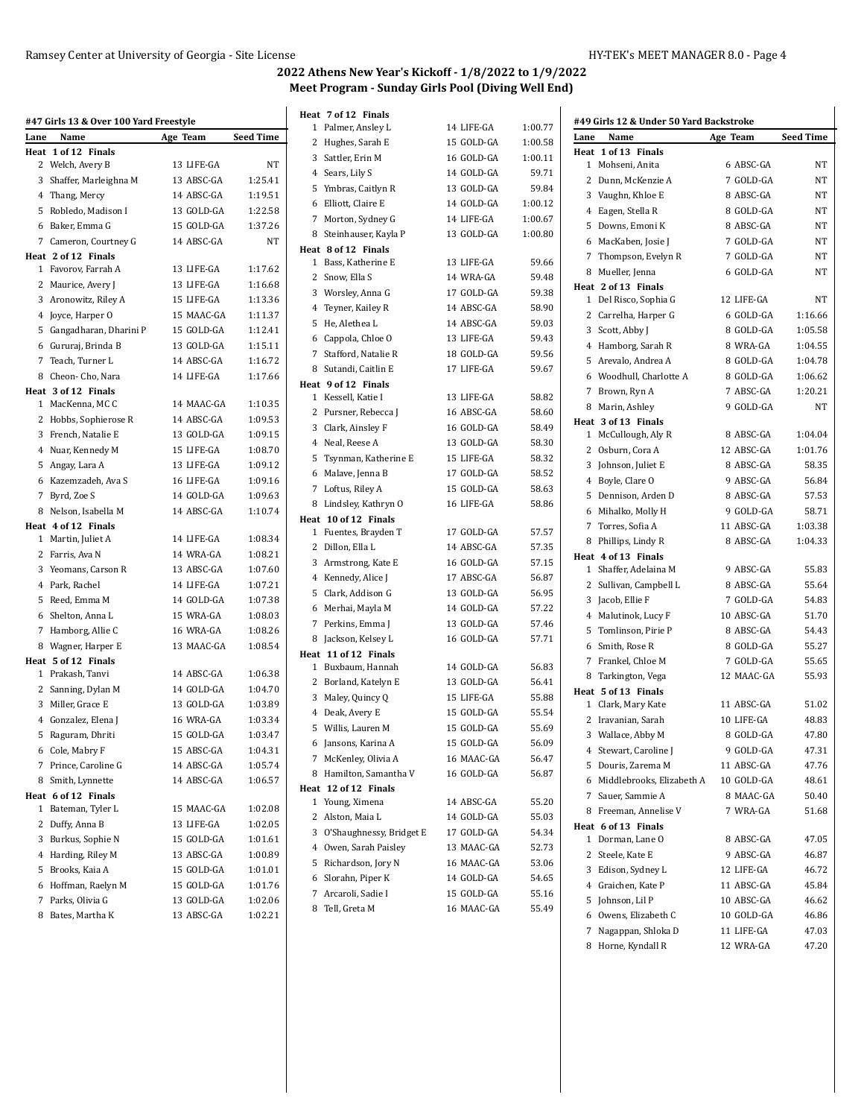$55.20$  $55.03$ 54.34 52.73 53.06  $54.65\,$  $55.16$ 55.49

| Name                                     | Age Team                                                                                                                                                                                                                                                                                                                                                                                                                                                                                                                                                                                                                                                                                                                                                                                                                                                                                                                                                     | <b>Seed Time</b>                                     |
|------------------------------------------|--------------------------------------------------------------------------------------------------------------------------------------------------------------------------------------------------------------------------------------------------------------------------------------------------------------------------------------------------------------------------------------------------------------------------------------------------------------------------------------------------------------------------------------------------------------------------------------------------------------------------------------------------------------------------------------------------------------------------------------------------------------------------------------------------------------------------------------------------------------------------------------------------------------------------------------------------------------|------------------------------------------------------|
|                                          |                                                                                                                                                                                                                                                                                                                                                                                                                                                                                                                                                                                                                                                                                                                                                                                                                                                                                                                                                              |                                                      |
|                                          | 13 LIFE-GA                                                                                                                                                                                                                                                                                                                                                                                                                                                                                                                                                                                                                                                                                                                                                                                                                                                                                                                                                   | NT                                                   |
|                                          | 13 ABSC-GA                                                                                                                                                                                                                                                                                                                                                                                                                                                                                                                                                                                                                                                                                                                                                                                                                                                                                                                                                   | 1:25.41                                              |
|                                          | 14 ABSC-GA                                                                                                                                                                                                                                                                                                                                                                                                                                                                                                                                                                                                                                                                                                                                                                                                                                                                                                                                                   | 1:19.51                                              |
|                                          | 13 GOLD-GA                                                                                                                                                                                                                                                                                                                                                                                                                                                                                                                                                                                                                                                                                                                                                                                                                                                                                                                                                   | 1:22.58                                              |
|                                          | 15 GOLD-GA                                                                                                                                                                                                                                                                                                                                                                                                                                                                                                                                                                                                                                                                                                                                                                                                                                                                                                                                                   | 1:37.26                                              |
|                                          | 14 ABSC-GA                                                                                                                                                                                                                                                                                                                                                                                                                                                                                                                                                                                                                                                                                                                                                                                                                                                                                                                                                   | NT                                                   |
|                                          |                                                                                                                                                                                                                                                                                                                                                                                                                                                                                                                                                                                                                                                                                                                                                                                                                                                                                                                                                              |                                                      |
|                                          | 13 LIFE-GA                                                                                                                                                                                                                                                                                                                                                                                                                                                                                                                                                                                                                                                                                                                                                                                                                                                                                                                                                   | 1:17.62                                              |
|                                          | 13 LIFE-GA                                                                                                                                                                                                                                                                                                                                                                                                                                                                                                                                                                                                                                                                                                                                                                                                                                                                                                                                                   | 1:16.68                                              |
|                                          | 15 LIFE-GA                                                                                                                                                                                                                                                                                                                                                                                                                                                                                                                                                                                                                                                                                                                                                                                                                                                                                                                                                   | 1:13.36                                              |
|                                          | 15 MAAC-GA                                                                                                                                                                                                                                                                                                                                                                                                                                                                                                                                                                                                                                                                                                                                                                                                                                                                                                                                                   | 1:11.37                                              |
|                                          | 15 GOLD-GA                                                                                                                                                                                                                                                                                                                                                                                                                                                                                                                                                                                                                                                                                                                                                                                                                                                                                                                                                   | 1:12.41                                              |
|                                          | 13 GOLD-GA                                                                                                                                                                                                                                                                                                                                                                                                                                                                                                                                                                                                                                                                                                                                                                                                                                                                                                                                                   | 1:15.11                                              |
|                                          | 14 ABSC-GA                                                                                                                                                                                                                                                                                                                                                                                                                                                                                                                                                                                                                                                                                                                                                                                                                                                                                                                                                   | 1:16.72                                              |
|                                          | 14 LIFE-GA                                                                                                                                                                                                                                                                                                                                                                                                                                                                                                                                                                                                                                                                                                                                                                                                                                                                                                                                                   | 1:17.66                                              |
|                                          |                                                                                                                                                                                                                                                                                                                                                                                                                                                                                                                                                                                                                                                                                                                                                                                                                                                                                                                                                              |                                                      |
|                                          | 14 MAAC-GA                                                                                                                                                                                                                                                                                                                                                                                                                                                                                                                                                                                                                                                                                                                                                                                                                                                                                                                                                   | 1:10.35                                              |
|                                          | 14 ABSC-GA                                                                                                                                                                                                                                                                                                                                                                                                                                                                                                                                                                                                                                                                                                                                                                                                                                                                                                                                                   | 1:09.53                                              |
|                                          | 13 GOLD-GA                                                                                                                                                                                                                                                                                                                                                                                                                                                                                                                                                                                                                                                                                                                                                                                                                                                                                                                                                   | 1:09.15                                              |
|                                          | 15 LIFE-GA                                                                                                                                                                                                                                                                                                                                                                                                                                                                                                                                                                                                                                                                                                                                                                                                                                                                                                                                                   | 1:08.70                                              |
|                                          | 13 LIFE-GA                                                                                                                                                                                                                                                                                                                                                                                                                                                                                                                                                                                                                                                                                                                                                                                                                                                                                                                                                   | 1:09.12                                              |
|                                          | 16 LIFE-GA                                                                                                                                                                                                                                                                                                                                                                                                                                                                                                                                                                                                                                                                                                                                                                                                                                                                                                                                                   | 1:09.16                                              |
|                                          | 14 GOLD-GA                                                                                                                                                                                                                                                                                                                                                                                                                                                                                                                                                                                                                                                                                                                                                                                                                                                                                                                                                   | 1:09.63                                              |
|                                          | 14 ABSC-GA                                                                                                                                                                                                                                                                                                                                                                                                                                                                                                                                                                                                                                                                                                                                                                                                                                                                                                                                                   | 1:10.74                                              |
|                                          |                                                                                                                                                                                                                                                                                                                                                                                                                                                                                                                                                                                                                                                                                                                                                                                                                                                                                                                                                              |                                                      |
|                                          | 14 LIFE-GA                                                                                                                                                                                                                                                                                                                                                                                                                                                                                                                                                                                                                                                                                                                                                                                                                                                                                                                                                   | 1:08.34                                              |
|                                          | 14 WRA-GA                                                                                                                                                                                                                                                                                                                                                                                                                                                                                                                                                                                                                                                                                                                                                                                                                                                                                                                                                    | 1:08.21                                              |
|                                          | 13 ABSC-GA                                                                                                                                                                                                                                                                                                                                                                                                                                                                                                                                                                                                                                                                                                                                                                                                                                                                                                                                                   | 1:07.60                                              |
|                                          | 14 LIFE-GA                                                                                                                                                                                                                                                                                                                                                                                                                                                                                                                                                                                                                                                                                                                                                                                                                                                                                                                                                   | 1:07.21                                              |
|                                          | 14 GOLD-GA                                                                                                                                                                                                                                                                                                                                                                                                                                                                                                                                                                                                                                                                                                                                                                                                                                                                                                                                                   | 1:07.38                                              |
|                                          | 15 WRA-GA                                                                                                                                                                                                                                                                                                                                                                                                                                                                                                                                                                                                                                                                                                                                                                                                                                                                                                                                                    | 1:08.03                                              |
|                                          | 16 WRA-GA                                                                                                                                                                                                                                                                                                                                                                                                                                                                                                                                                                                                                                                                                                                                                                                                                                                                                                                                                    | 1:08.26                                              |
|                                          | 13 MAAC-GA                                                                                                                                                                                                                                                                                                                                                                                                                                                                                                                                                                                                                                                                                                                                                                                                                                                                                                                                                   | 1:08.54                                              |
|                                          |                                                                                                                                                                                                                                                                                                                                                                                                                                                                                                                                                                                                                                                                                                                                                                                                                                                                                                                                                              |                                                      |
|                                          | 14 ABSC-GA                                                                                                                                                                                                                                                                                                                                                                                                                                                                                                                                                                                                                                                                                                                                                                                                                                                                                                                                                   | 1:06.38                                              |
|                                          | 14 GOLD-GA                                                                                                                                                                                                                                                                                                                                                                                                                                                                                                                                                                                                                                                                                                                                                                                                                                                                                                                                                   | 1:04.70                                              |
|                                          | 13 GOLD-GA                                                                                                                                                                                                                                                                                                                                                                                                                                                                                                                                                                                                                                                                                                                                                                                                                                                                                                                                                   | 1:03.89                                              |
|                                          | 16 WRA-GA                                                                                                                                                                                                                                                                                                                                                                                                                                                                                                                                                                                                                                                                                                                                                                                                                                                                                                                                                    | 1:03.34                                              |
|                                          | 15 GOLD-GA                                                                                                                                                                                                                                                                                                                                                                                                                                                                                                                                                                                                                                                                                                                                                                                                                                                                                                                                                   | 1:03.47                                              |
|                                          | 15 ABSC-GA                                                                                                                                                                                                                                                                                                                                                                                                                                                                                                                                                                                                                                                                                                                                                                                                                                                                                                                                                   | 1:04.31                                              |
| Prince, Caroline G                       | 14 ABSC-GA                                                                                                                                                                                                                                                                                                                                                                                                                                                                                                                                                                                                                                                                                                                                                                                                                                                                                                                                                   | 1:05.74                                              |
|                                          |                                                                                                                                                                                                                                                                                                                                                                                                                                                                                                                                                                                                                                                                                                                                                                                                                                                                                                                                                              | 1:06.57                                              |
| Heat 6 of 12 Finals                      |                                                                                                                                                                                                                                                                                                                                                                                                                                                                                                                                                                                                                                                                                                                                                                                                                                                                                                                                                              |                                                      |
|                                          | 15 MAAC-GA                                                                                                                                                                                                                                                                                                                                                                                                                                                                                                                                                                                                                                                                                                                                                                                                                                                                                                                                                   | 1:02.08                                              |
| Bateman, Tyler L                         |                                                                                                                                                                                                                                                                                                                                                                                                                                                                                                                                                                                                                                                                                                                                                                                                                                                                                                                                                              |                                                      |
| 2 Duffy, Anna B                          | 13 LIFE-GA                                                                                                                                                                                                                                                                                                                                                                                                                                                                                                                                                                                                                                                                                                                                                                                                                                                                                                                                                   | 1:02.05                                              |
|                                          | 15 GOLD-GA                                                                                                                                                                                                                                                                                                                                                                                                                                                                                                                                                                                                                                                                                                                                                                                                                                                                                                                                                   | 1:01.61                                              |
| 3 Burkus, Sophie N                       |                                                                                                                                                                                                                                                                                                                                                                                                                                                                                                                                                                                                                                                                                                                                                                                                                                                                                                                                                              |                                                      |
| 4 Harding, Riley M                       | 13 ABSC-GA                                                                                                                                                                                                                                                                                                                                                                                                                                                                                                                                                                                                                                                                                                                                                                                                                                                                                                                                                   | 1:00.89                                              |
| 5 Brooks, Kaia A                         | 15 GOLD-GA                                                                                                                                                                                                                                                                                                                                                                                                                                                                                                                                                                                                                                                                                                                                                                                                                                                                                                                                                   | 1:01.01                                              |
| 6 Hoffman, Raelyn M<br>7 Parks, Olivia G | 15 GOLD-GA<br>13 GOLD-GA                                                                                                                                                                                                                                                                                                                                                                                                                                                                                                                                                                                                                                                                                                                                                                                                                                                                                                                                     | 1:01.76<br>1:02.06                                   |
|                                          | Lane<br>Heat 1 of 12 Finals<br>2 Welch, Avery B<br>3 Shaffer, Marleighna M<br>4 Thang, Mercy<br>5 Robledo, Madison I<br>6 Baker, Emma G<br>7 Cameron, Courtney G<br>Heat 2 of 12 Finals<br>1 Favorov, Farrah A<br>2 Maurice, Avery J<br>3 Aronowitz, Riley A<br>4 Joyce, Harper O<br>5 Gangadharan, Dharini P<br>6 Gururaj, Brinda B<br>7 Teach, Turner L<br>8 Cheon- Cho, Nara<br>Heat 3 of 12 Finals<br>1 MacKenna, MCC<br>2 Hobbs, Sophierose R<br>3 French, Natalie E<br>4 Nuar, Kennedy M<br>5 Angay, Lara A<br>6 Kazemzadeh, Ava S<br>7 Byrd, Zoe S<br>8 Nelson, Isabella M<br>Heat 4 of 12 Finals<br>1 Martin, Juliet A<br>2 Farris, Ava N<br>3 Yeomans, Carson R<br>4 Park, Rachel<br>5 Reed, Emma M<br>6 Shelton, Anna L<br>7 Hamborg, Allie C<br>8 Wagner, Harper E<br>Heat 5 of 12 Finals<br>1 Prakash, Tanvi<br>2 Sanning, Dylan M<br>3 Miller, Grace E<br>4 Gonzalez, Elena J<br>5 Raguram, Dhriti<br>6 Cole, Mabry F<br>7<br>8 Smith, Lynnette | #47 Girls 13 & Over 100 Yard Freestyle<br>14 ABSC-GA |

|                | Heat 7 of 12 Finals        |            |         |
|----------------|----------------------------|------------|---------|
|                | 1 Palmer, Ansley L         | 14 LIFE-GA | 1:00.77 |
|                | 2 Hughes, Sarah E          | 15 GOLD-GA | 1:00.58 |
|                | 3 Sattler, Erin M          | 16 GOLD-GA | 1:00.11 |
|                | 4 Sears, Lily S            | 14 GOLD-GA | 59.71   |
|                |                            | 13 GOLD-GA | 59.84   |
|                | 5 Ymbras, Caitlyn R        |            |         |
|                | 6 Elliott, Claire E        | 14 GOLD-GA | 1:00.12 |
|                | 7 Morton, Sydney G         | 14 LIFE-GA | 1:00.67 |
| 8              | Steinhauser, Kayla P       | 13 GOLD-GA | 1:00.80 |
|                | Heat 8 of 12 Finals        |            |         |
|                | 1 Bass, Katherine E        | 13 LIFE-GA | 59.66   |
|                | 2 Snow, Ella S             | 14 WRA-GA  | 59.48   |
|                | 3 Worsley, Anna G          | 17 GOLD-GA | 59.38   |
|                | 4 Teyner, Kailey R         | 14 ABSC-GA | 58.90   |
|                | 5 He, Alethea L            | 14 ABSC-GA | 59.03   |
|                | 6 Cappola, Chloe O         | 13 LIFE-GA | 59.43   |
| $\overline{7}$ | Stafford, Natalie R        | 18 GOLD-GA | 59.56   |
|                | 8 Sutandi, Caitlin E       | 17 LIFE-GA | 59.67   |
|                | Heat 9 of 12 Finals        |            |         |
|                | 1 Kessell, Katie I         | 13 LIFE-GA | 58.82   |
|                | 2 Pursner, Rebecca J       | 16 ABSC-GA | 58.60   |
|                | 3 Clark, Ainsley F         | 16 GOLD-GA | 58.49   |
|                | 4 Neal, Reese A            | 13 GOLD-GA | 58.30   |
|                | 5 Tsynman, Katherine E     | 15 LIFE-GA | 58.32   |
|                | 6 Malave, Jenna B          | 17 GOLD-GA | 58.52   |
| 7              | Loftus, Riley A            | 15 GOLD-GA | 58.63   |
|                | 8 Lindsley, Kathryn O      | 16 LIFE-GA | 58.86   |
|                | Heat 10 of 12 Finals       |            |         |
|                | 1 Fuentes, Brayden T       | 17 GOLD-GA | 57.57   |
|                | 2 Dillon, Ella L           | 14 ABSC-GA | 57.35   |
|                | 3 Armstrong, Kate E        | 16 GOLD-GA | 57.15   |
|                | 4 Kennedy, Alice J         | 17 ABSC-GA | 56.87   |
|                | 5 Clark, Addison G         | 13 GOLD-GA | 56.95   |
| 6              | Merhai, Mayla M            | 14 GOLD-GA | 57.22   |
| 7              | Perkins, Emma J            | 13 GOLD-GA | 57.46   |
|                | 8 Jackson, Kelsey L        | 16 GOLD-GA | 57.71   |
|                | Heat 11 of 12 Finals       |            |         |
|                | 1 Buxbaum, Hannah          | 14 GOLD-GA | 56.83   |
|                | 2 Borland, Katelyn E       | 13 GOLD-GA | 56.41   |
|                | 3 Maley, Quincy Q          | 15 LIFE-GA | 55.88   |
|                | 4 Deak, Avery E            | 15 GOLD-GA | 55.54   |
| 5              | Willis, Lauren M           | 15 GOLD-GA | 55.69   |
|                | 6 Jansons, Karina A        | 15 GOLD-GA | 56.09   |
| 7              | McKenley, Olivia A         | 16 MAAC-GA | 56.47   |
| 8              | Hamilton, Samantha V       | 16 GOLD-GA | 56.87   |
| Heat           | 12 of 12 Finals            |            |         |
| 1              | Young, Ximena              | 14 ABSC-GA | 55.20   |
| 2              | Alston, Maia L             | 14 GOLD-GA | 55.03   |
|                | 3 O'Shaughnessy, Bridget E | 17 GOLD-GA | 54.34   |
|                |                            | 13 MAAC-GA | 52.73   |
|                | 4 Owen, Sarah Paisley      |            |         |
|                | 5 Richardson, Jory N       | 16 MAAC-GA | 53.06   |
|                | 6 Slorahn, Piper K         | 14 GOLD-GA | 54.65   |
| 7              | Arcaroli, Sadie I          | 15 GOLD-GA | 55.16   |
|                | 8 Tell Greta M             | 16 MAAC-GA | 5549    |

| Lane | Name                        | Age Team   | <b>Seed Time</b> |
|------|-----------------------------|------------|------------------|
|      | Heat 1 of 13 Finals         |            |                  |
|      | 1 Mohseni, Anita            | 6 ABSC-GA  | NΤ               |
|      | 2 Dunn, McKenzie A          | 7 GOLD-GA  | NΤ               |
|      | 3 Vaughn, Khloe E           | 8 ABSC-GA  | NΤ               |
|      | 4 Eagen, Stella R           | 8 GOLD-GA  | NΤ               |
|      | 5 Downs, Emoni K            | 8 ABSC-GA  | NT               |
|      |                             | 7 GOLD-GA  |                  |
|      | 6 MacKaben, Josie J         |            | NΤ               |
|      | 7 Thompson, Evelyn R        | 7 GOLD-GA  | NΤ               |
|      | 8 Mueller, Jenna            | 6 GOLD-GA  | NT               |
|      | Heat 2 of 13 Finals         |            |                  |
|      | 1 Del Risco, Sophia G       | 12 LIFE-GA | NT               |
|      | 2 Carrelha, Harper G        | 6 GOLD-GA  | 1:16.66          |
|      | 3 Scott, Abby J             | 8 GOLD-GA  | 1:05.58          |
|      | 4 Hamborg, Sarah R          | 8 WRA-GA   | 1:04.55          |
|      | 5 Arevalo, Andrea A         | 8 GOLD-GA  | 1:04.78          |
|      | 6 Woodhull, Charlotte A     | 8 GOLD-GA  | 1:06.62          |
|      | 7 Brown, Ryn A              | 7 ABSC-GA  | 1:20.21          |
|      | 8 Marin, Ashley             | 9 GOLD-GA  | NT               |
|      | Heat 3 of 13 Finals         |            |                  |
|      | 1 McCullough, Aly R         | 8 ABSC-GA  | 1:04.04          |
|      | 2 Osburn, Cora A            | 12 ABSC-GA | 1:01.76          |
|      | 3 Johnson, Juliet E         | 8 ABSC-GA  | 58.35            |
|      | 4 Boyle, Clare O            | 9 ABSC-GA  | 56.84            |
|      | 5 Dennison, Arden D         | 8 ABSC-GA  | 57.53            |
|      | 6 Mihalko, Molly H          | 9 GOLD-GA  | 58.71            |
|      | 7 Torres, Sofia A           | 11 ABSC-GA | 1:03.38          |
|      | 8 Phillips, Lindy R         | 8 ABSC-GA  | 1:04.33          |
|      | Heat 4 of 13 Finals         |            |                  |
|      | 1 Shaffer, Adelaina M       | 9 ABSC-GA  | 55.83            |
|      | 2 Sullivan, Campbell L      | 8 ABSC-GA  | 55.64            |
|      | 3 Jacob, Ellie F            | 7 GOLD-GA  | 54.83            |
|      | 4 Malutinok, Lucy F         | 10 ABSC-GA | 51.70            |
|      | 5 Tomlinson, Pirie P        | 8 ABSC-GA  | 54.43            |
|      | 6 Smith, Rose R             | 8 GOLD-GA  | 55.27            |
|      | 7 Frankel, Chloe M          | 7 GOLD-GA  | 55.65            |
|      | 8 Tarkington, Vega          | 12 MAAC-GA | 55.93            |
|      | Heat 5 of 13 Finals         |            |                  |
|      | 1 Clark, Mary Kate          | 11 ABSC-GA | 51.02            |
|      | 2 Iravanian, Sarah          | 10 LIFE-GA | 48.83            |
|      |                             | 8 GOLD-GA  | 47.80            |
|      | 3 Wallace, Abby M           |            |                  |
|      | 4 Stewart, Caroline J       | 9 GOLD-GA  | 47.31            |
|      | 5 Douris, Zarema M          | 11 ABSC-GA | 47.76            |
|      | 6 Middlebrooks, Elizabeth A | 10 GOLD-GA | 48.61            |
|      | 7 Sauer, Sammie A           | 8 MAAC-GA  | 50.40            |
| 8    | Freeman, Annelise V         | 7 WRA-GA   | 51.68            |
|      | Heat 6 of 13 Finals         |            |                  |
|      | 1 Dorman, Lane O            | 8 ABSC-GA  | 47.05            |
|      | 2 Steele, Kate E            | 9 ABSC-GA  | 46.87            |
|      | 3 Edison, Sydney L          | 12 LIFE-GA | 46.72            |
|      | 4 Graichen, Kate P          | 11 ABSC-GA | 45.84            |
|      | 5 Johnson, Lil P            | 10 ABSC-GA | 46.62            |
|      | 6 Owens, Elizabeth C        | 10 GOLD-GA | 46.86            |
| 7    | Nagappan, Shloka D          | 11 LIFE-GA | 47.03            |
|      |                             |            |                  |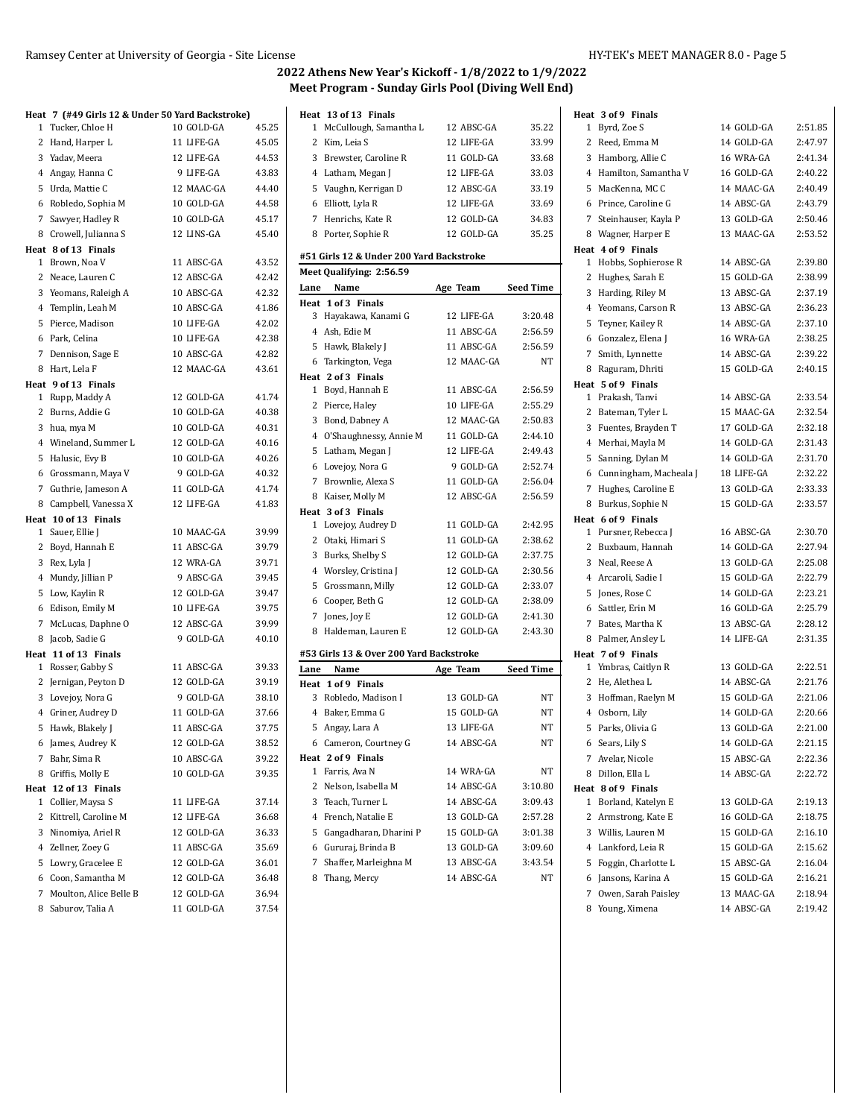|   |                                             | Heat 7 (#49 Girls 12 & Under 50 Yard Backstroke) |                |
|---|---------------------------------------------|--------------------------------------------------|----------------|
|   | 1 Tucker, Chloe H                           | 10 GOLD-GA                                       | 45.25          |
|   | 2 Hand, Harper L                            | 11 LIFE-GA                                       | 45.05          |
|   | 3 Yadav, Meera                              | 12 LIFE-GA                                       | 44.53          |
|   | 4 Angay, Hanna C                            | 9 LIFE-GA                                        | 43.83          |
|   | 5 Urda, Mattie C                            | 12 MAAC-GA                                       | 44.40          |
|   | 6 Robledo, Sophia M                         | 10 GOLD-GA                                       | 44.58          |
|   | 7 Sawyer, Hadley R                          | 10 GOLD-GA                                       | 45.17          |
|   | 8 Crowell, Julianna S                       | 12 LINS-GA                                       | 45.40          |
|   | Heat 8 of 13 Finals                         |                                                  |                |
|   | 1 Brown, Noa V                              | 11 ABSC-GA                                       | 43.52          |
|   | 2 Neace, Lauren C                           | 12 ABSC-GA                                       | 42.42          |
|   | 3 Yeomans, Raleigh A                        | 10 ABSC-GA                                       | 42.32          |
|   | 4 Templin, Leah M                           | 10 ABSC-GA                                       | 41.86          |
|   | 5 Pierce, Madison                           | 10 LIFE-GA                                       | 42.02          |
|   | 6 Park, Celina                              | 10 LIFE-GA                                       | 42.38          |
|   | 7 Dennison, Sage E                          | 10 ABSC-GA                                       | 42.82          |
|   | 8 Hart, Lela F                              | 12 MAAC-GA                                       | 43.61          |
|   | Heat 9 of 13 Finals                         |                                                  |                |
|   | 1 Rupp, Maddy A                             | 12 GOLD-GA                                       | 41.74          |
|   | 2 Burns, Addie G                            | 10 GOLD-GA<br>10 GOLD-GA                         | 40.38<br>40.31 |
|   | 3 hua, mya M                                |                                                  |                |
|   | 4 Wineland, Summer L                        | 12 GOLD-GA<br>10 GOLD-GA                         | 40.16<br>40.26 |
|   | 5 Halusic, Evy B                            | 9 GOLD-GA                                        |                |
|   | 6 Grossmann, Maya V<br>7 Guthrie, Jameson A | 11 GOLD-GA                                       | 40.32<br>41.74 |
|   | 8 Campbell, Vanessa X                       | 12 LIFE-GA                                       | 41.83          |
|   | Heat 10 of 13 Finals                        |                                                  |                |
|   | 1 Sauer, Ellie J                            | 10 MAAC-GA                                       | 39.99          |
|   | 2 Boyd, Hannah E                            | 11 ABSC-GA                                       | 39.79          |
|   | 3 Rex, Lyla J                               | 12 WRA-GA                                        | 39.71          |
|   | 4 Mundy, Jillian P                          | 9 ABSC-GA                                        | 39.45          |
|   | 5 Low, Kaylin R                             | 12 GOLD-GA                                       | 39.47          |
|   | 6 Edison, Emily M                           | 10 LIFE-GA                                       | 39.75          |
|   | 7 McLucas, Daphne O                         | 12 ABSC-GA                                       | 39.99          |
|   | 8 Jacob, Sadie G                            | 9 GOLD-GA                                        | 40.10          |
|   | Heat 11 of 13 Finals                        |                                                  |                |
|   | 1 Rosser, Gabby S                           | 11 ABSC-GA                                       | 39.33          |
|   | 2 Jernigan, Peyton D                        | 12 GOLD-GA                                       | 39.19          |
|   | 3 Lovejoy, Nora G                           | 9 GOLD-GA                                        | 38.10          |
|   | 4 Griner, Audrey D                          | 11 GOLD-GA                                       | 37.66          |
|   | 5 Hawk, Blakely J                           | 11 ABSC-GA                                       | 37.75          |
|   | 6 James, Audrey K                           | 12 GOLD-GA                                       | 38.52          |
| 7 | Bahr, Sima R                                | 10 ABSC-GA                                       | 39.22          |
| 8 | Griffis, Molly E                            | 10 GOLD-GA                                       | 39.35          |
|   | Heat 12 of 13 Finals                        |                                                  |                |
| 1 | Collier, Maysa S                            | 11 LIFE-GA                                       | 37.14          |
| 2 | Kittrell, Caroline M                        | 12 LIFE-GA                                       | 36.68          |
|   | 3 Ninomiya, Ariel R                         | 12 GOLD-GA                                       | 36.33          |
|   | 4 Zellner, Zoey G                           | 11 ABSC-GA                                       | 35.69          |
|   | 5 Lowry, Gracelee E                         | 12 GOLD-GA                                       | 36.01          |
|   | 6 Coon, Samantha M                          | 12 GOLD-GA                                       | 36.48          |
|   | 7 Moulton, Alice Belle B                    | 12 GOLD-GA                                       | 36.94          |
|   | 8 Saburov, Talia A                          | 11 GOLD-GA                                       | 37.54          |

|                | Heat 13 of 13 Finals<br>McCullough, Samantha L | 12 ABSC-GA | 35.22            |
|----------------|------------------------------------------------|------------|------------------|
| 1              |                                                | 12 LIFE-GA |                  |
| 2              | Kim, Leia S                                    |            | 33.99            |
| 3              | Brewster, Caroline R                           | 11 GOLD-GA | 33.68            |
|                | 4 Latham, Megan J                              | 12 LIFE-GA | 33.03            |
|                | 5 Vaughn, Kerrigan D                           | 12 ABSC-GA | 33.19            |
| 6              | Elliott, Lyla R                                | 12 LIFE-GA | 33.69            |
| 7              | Henrichs, Kate R                               | 12 GOLD-GA | 34.83            |
|                | 8 Porter, Sophie R                             | 12 GOLD-GA | 35.25            |
|                | #51 Girls 12 & Under 200 Yard Backstroke       |            |                  |
|                | Meet Qualifying: 2:56.59                       |            |                  |
| Lane           | Name                                           | Age Team   | Seed Time        |
| Heat           | 1 of 3 Finals                                  |            |                  |
| 3              | Hayakawa, Kanami G                             | 12 LIFE-GA | 3:20.48          |
| 4              | Ash, Edie M                                    | 11 ABSC-GA | 2:56.59          |
|                | 5 Hawk, Blakely J                              | 11 ABSC-GA | 2:56.59          |
| 6              | Tarkington, Vega                               | 12 MAAC-GA | NT               |
|                | Heat 2 of 3 Finals                             |            |                  |
| 1              | Boyd, Hannah E                                 | 11 ABSC-GA | 2:56.59          |
| 2              | Pierce, Haley                                  | 10 LIFE-GA | 2:55.29          |
| 3              | Bond, Dabney A                                 | 12 MAAC-GA | 2:50.83          |
|                | 4 O'Shaughnessy, Annie M                       | 11 GOLD-GA | 2:44.10          |
| 5              | Latham, Megan J                                | 12 LIFE-GA | 2:49.43          |
| 6              | Lovejoy, Nora G                                | 9 GOLD-GA  | 2:52.74          |
| $7^{\circ}$    | Brownlie, Alexa S                              | 11 GOLD-GA | 2:56.04          |
| 8              | Kaiser, Molly M                                | 12 ABSC-GA | 2:56.59          |
|                | Heat 3 of 3 Finals                             |            |                  |
| 1              | Lovejoy, Audrey D                              | 11 GOLD-GA | 2:42.95          |
| 2              | Otaki, Himari S                                | 11 GOLD-GA | 2:38.62          |
|                | 3 Burks, Shelby S                              | 12 GOLD-GA | 2:37.75          |
|                | 4 Worsley, Cristina J                          | 12 GOLD-GA | 2:30.56          |
| 5              | Grossmann, Milly                               | 12 GOLD-GA | 2:33.07          |
| 6              | Cooper, Beth G                                 | 12 GOLD-GA | 2:38.09          |
| 7              | Jones, Joy E                                   | 12 GOLD-GA | 2:41.30          |
| 8              | Haldeman, Lauren E                             | 12 GOLD-GA | 2:43.30          |
|                |                                                |            |                  |
|                | #53 Girls 13 & Over 200 Yard Backstroke        |            |                  |
| Lane           | Name                                           | Age Team   | <b>Seed Time</b> |
|                | Heat 1 of 9 Finals                             |            |                  |
|                | 3 Robledo, Madison I                           | 13 GOLD-GA | NΤ               |
|                | 4 Baker, Emma G                                | 15 GOLD-GA | NΤ               |
| 5              | Angay, Lara A                                  | 13 LIFE-GA | <b>NT</b>        |
| 6              | Cameron, Courtney G                            | 14 ABSC-GA | NΤ               |
|                | Heat 2 of 9 Finals                             |            |                  |
| 1              | Farris, Ava N                                  | 14 WRA-GA  | NΤ               |
| 2              | Nelson, Isabella M                             | 14 ABSC-GA | 3:10.80          |
| 3              | Teach, Turner L                                | 14 ABSC-GA | 3:09.43          |
| $\overline{4}$ | French, Natalie E                              | 13 GOLD-GA | 2:57.28          |
| 5              | Gangadharan, Dharini P                         | 15 GOLD-GA | 3:01.38          |
| 6              | Gururaj, Brinda B                              | 13 GOLD-GA | 3:09.60          |
| 7              | Shaffer, Marleighna M                          | 13 ABSC-GA | 3:43.54          |
|                |                                                |            |                  |
| 8              | Thang, Mercy                                   | 14 ABSC-GA | NΤ               |

|              | Heat 3 of 9 Finals       |            |         |
|--------------|--------------------------|------------|---------|
| 1            | Byrd, Zoe S              | 14 GOLD-GA | 2:51.85 |
|              | 2 Reed, Emma M           | 14 GOLD-GA | 2:47.97 |
|              | 3 Hamborg, Allie C       | 16 WRA-GA  | 2:41.34 |
|              | 4 Hamilton, Samantha V   | 16 GOLD-GA | 2:40.22 |
|              | 5 MacKenna, MCC          | 14 MAAC-GA | 2:40.49 |
|              | 6 Prince, Caroline G     | 14 ABSC-GA | 2:43.79 |
| $7^{\circ}$  | Steinhauser, Kayla P     | 13 GOLD-GA | 2:50.46 |
|              | 8 Wagner, Harper E       | 13 MAAC-GA | 2:53.52 |
|              | Heat 4 of 9 Finals       |            |         |
|              | 1 Hobbs, Sophierose R    | 14 ABSC-GA | 2:39.80 |
|              | 2 Hughes, Sarah E        | 15 GOLD-GA | 2:38.99 |
|              | 3 Harding, Riley M       | 13 ABSC-GA | 2:37.19 |
|              | 4 Yeomans, Carson R      | 13 ABSC-GA | 2:36.23 |
|              | 5 Teyner, Kailey R       | 14 ABSC-GA | 2:37.10 |
|              | 6 Gonzalez, Elena J      | 16 WRA-GA  | 2:38.25 |
| 7            | Smith, Lynnette          | 14 ABSC-GA | 2:39.22 |
| 8            | Raguram, Dhriti          | 15 GOLD-GA | 2:40.15 |
|              | Heat 5 of 9 Finals       |            |         |
|              | 1 Prakash, Tanvi         | 14 ABSC-GA | 2:33.54 |
|              | 2 Bateman, Tyler L       | 15 MAAC-GA | 2:32.54 |
|              | 3 Fuentes, Brayden T     | 17 GOLD-GA | 2:32.18 |
|              | 4 Merhai, Mayla M        | 14 GOLD-GA | 2:31.43 |
|              | 5 Sanning, Dylan M       | 14 GOLD-GA | 2:31.70 |
|              | 6 Cunningham, Macheala J | 18 LIFE-GA | 2:32.22 |
| 7            | Hughes, Caroline E       | 13 GOLD-GA | 2:33.33 |
| 8            | Burkus, Sophie N         | 15 GOLD-GA | 2:33.57 |
|              | Heat 6 of 9 Finals       |            |         |
|              | 1 Pursner, Rebecca J     | 16 ABSC-GA | 2:30.70 |
|              | 2 Buxbaum, Hannah        | 14 GOLD-GA | 2:27.94 |
|              | 3 Neal, Reese A          | 13 GOLD-GA | 2:25.08 |
|              | 4 Arcaroli, Sadie I      | 15 GOLD-GA | 2:22.79 |
|              | 5 Jones, Rose C          | 14 GOLD-GA | 2:23.21 |
|              | 6 Sattler, Erin M        | 16 GOLD-GA | 2:25.79 |
| 7            | Bates, Martha K          | 13 ABSC-GA | 2:28.12 |
|              | 8 Palmer, Ansley L       | 14 LIFE-GA | 2:31.35 |
|              | Heat 7 of 9 Finals       |            |         |
|              | 1 Ymbras, Caitlyn R      | 13 GOLD-GA | 2:22.51 |
|              | 2 He, Alethea L          | 14 ABSC-GA | 2:21.76 |
|              | 3 Hoffman, Raelyn M      | 15 GOLD-GA | 2:21.06 |
|              | 4 Osborn, Lily           | 14 GOLD-GA | 2:20.66 |
|              | 5 Parks, Olivia G        | 13 GOLD-GA | 2:21.00 |
|              | 6 Sears, Lily S          | 14 GOLD-GA | 2:21.15 |
|              | 7 Avelar, Nicole         | 15 ABSC-GA | 2:22.36 |
| 8            | Dillon, Ella L           | 14 ABSC-GA | 2:22.72 |
|              | Heat 8 of 9 Finals       |            |         |
| 1            | Borland, Katelyn E       | 13 GOLD-GA | 2:19.13 |
| $\mathbf{2}$ | Armstrong, Kate E        | 16 GOLD-GA | 2:18.75 |
|              | 3 Willis, Lauren M       | 15 GOLD-GA | 2:16.10 |
|              | 4 Lankford, Leia R       | 15 GOLD-GA | 2:15.62 |
|              | 5 Foggin, Charlotte L    | 15 ABSC-GA | 2:16.04 |
|              | 6 Jansons, Karina A      | 15 GOLD-GA | 2:16.21 |
| 7            | Owen, Sarah Paisley      | 13 MAAC-GA | 2:18.94 |
|              | 8 Young, Ximena          | 14 ABSC-GA | 2:19.42 |